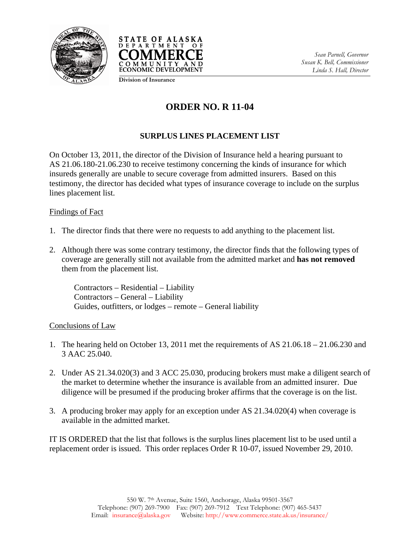



**Division of Insurance**

## **ORDER NO. R 11-04**

## **SURPLUS LINES PLACEMENT LIST**

On October 13, 2011, the director of the Division of Insurance held a hearing pursuant to AS 21.06.180-21.06.230 to receive testimony concerning the kinds of insurance for which insureds generally are unable to secure coverage from admitted insurers. Based on this testimony, the director has decided what types of insurance coverage to include on the surplus lines placement list.

## Findings of Fact

- 1. The director finds that there were no requests to add anything to the placement list.
- 2. Although there was some contrary testimony, the director finds that the following types of coverage are generally still not available from the admitted market and **has not removed** them from the placement list.

Contractors – Residential – Liability Contractors – General – Liability Guides, outfitters, or lodges – remote – General liability

## Conclusions of Law

- 1. The hearing held on October 13, 2011 met the requirements of AS 21.06.18 21.06.230 and 3 AAC 25.040.
- 2. Under AS 21.34.020(3) and 3 ACC 25.030, producing brokers must make a diligent search of the market to determine whether the insurance is available from an admitted insurer. Due diligence will be presumed if the producing broker affirms that the coverage is on the list.
- 3. A producing broker may apply for an exception under AS 21.34.020(4) when coverage is available in the admitted market.

IT IS ORDERED that the list that follows is the surplus lines placement list to be used until a replacement order is issued. This order replaces Order R 10-07, issued November 29, 2010.